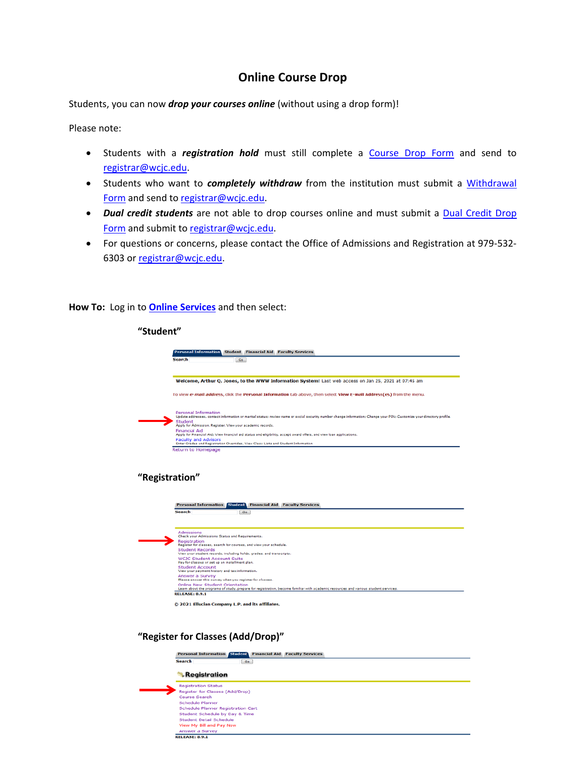## **Online Course Drop**

Students, you can now *drop your courses online* (without using a drop form)!

Please note:

- Students with a *registration hold* must still complete a Course [Drop Form](mailto:Course%20Drop%20Form) and send to [registrar@wcjc.edu.](mailto:registrar@wcjc.edu)
- Students who want to *completely withdraw* from the institution must submit a [Withdrawal](https://wcjc.edu/Admissions/admissions-and-registration/documents/WithdrawalFormADA.pdf)  [Form](https://wcjc.edu/Admissions/admissions-and-registration/documents/WithdrawalFormADA.pdf) and send to [registrar@wcjc.edu.](mailto:registrar@wcjc.edu)
- *Dual credit students* are not able to drop courses online and must submit a **Dual Credit Drop** [Form](https://wcjc.edu/Admissions/admissions-and-registration/documents/DCStudentDropFormADAv1.pdf) and submit t[o registrar@wcjc.edu.](mailto:registrar@wcjc.edu)
- For questions or concerns, please contact the Office of Admissions and Registration at 979-532- 6303 or [registrar@wcjc.edu.](mailto:registrar@wcjc.edu)

**How To:** Log in to **[Online Services](https://fannin5.wcjc.edu/prod_dad/twbkwbis.P_WWWLogin)** and then select:

| <b>Personal Information</b>                                                                               |     | <b>Student Financial Aid Faculty Services</b>                                                                                                                         |
|-----------------------------------------------------------------------------------------------------------|-----|-----------------------------------------------------------------------------------------------------------------------------------------------------------------------|
| Search                                                                                                    | Go  |                                                                                                                                                                       |
|                                                                                                           |     | Welcome, Arthur Q. Jones, to the WWW Information System! Last web access on Jan 25, 2021 at 07:45 am                                                                  |
|                                                                                                           |     | To view e-mail address, click the Personal Information tab above, then select View E-mail Address(es) from the menu.                                                  |
| <b>Personal Information</b>                                                                               |     | Update addresses, contact information or marital status; review name or social security number change information; Change your PIN; Customize your directory profile. |
| Student                                                                                                   |     |                                                                                                                                                                       |
| Apply for Admission, Register, View your academic records.<br><b>Financial Aid</b>                        |     |                                                                                                                                                                       |
| <b>Faculty and Advisors</b>                                                                               |     | Apply for Financial Aid; View financial aid status and eligibility, accept award offers, and view loan applications.                                                  |
| Enter Grades and Registration Overrides, View Class Lists and Student Information                         |     |                                                                                                                                                                       |
| Return to Homepage<br>"Registration"                                                                      |     |                                                                                                                                                                       |
| <b>Personal Information</b>                                                                               |     | <b>Student Financial Aid Faculty Services</b>                                                                                                                         |
| <b>Search</b>                                                                                             | Go. |                                                                                                                                                                       |
|                                                                                                           |     |                                                                                                                                                                       |
| <b>Admissions</b><br>Check your Admissions Status and Requirements.                                       |     |                                                                                                                                                                       |
| Registration<br>Register for classes, search for courses, and view your schedule.                         |     |                                                                                                                                                                       |
| <b>Student Records</b>                                                                                    |     |                                                                                                                                                                       |
| View your student records, including holds, grades, and transcripts.<br><b>WCJC Student Account Suite</b> |     |                                                                                                                                                                       |
| Pay for classes or set up an installment plan.                                                            |     |                                                                                                                                                                       |
| <b>Student Account</b><br>View your payment history and tax information.                                  |     |                                                                                                                                                                       |
| Answer a Survey<br>Please answer this survey when you register for classes.                               |     |                                                                                                                                                                       |
| Online New Student Orientation                                                                            |     | Learn about the programs of study, prepare for registration, become familiar with academic resources and various student services.                                    |
| <b>RELEASE: 8.9.1</b>                                                                                     |     |                                                                                                                                                                       |

**"Register for Classes (Add/Drop)"**